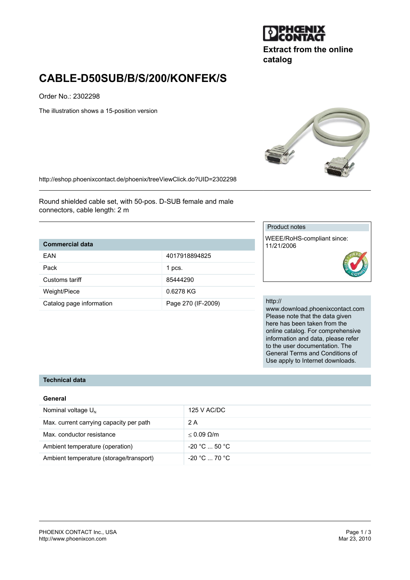

**Extract from the online catalog**

# **CABLE-D50SUB/B/S/200/KONFEK/S**

Order No.: 2302298

The illustration shows a 15-position version



http://eshop.phoenixcontact.de/phoenix/treeViewClick.do?UID=2302298

Round shielded cable set, with 50-pos. D-SUB female and male connectors, cable length: 2 m

#### **Commercial data**

| FAN                      | 4017918894825      |
|--------------------------|--------------------|
| Pack                     | 1 pcs.             |
| Customs tariff           | 85444290           |
| Weight/Piece             | 0.6278 KG          |
| Catalog page information | Page 270 (IF-2009) |

### Product notes

WEEE/RoHS-compliant since: 11/21/2006

#### http://

www.download.phoenixcontact.com Please note that the data given here has been taken from the online catalog. For comprehensive information and data, please refer to the user documentation. The General Terms and Conditions of Use apply to Internet downloads.

### **Technical data**

#### **General**

| Nominal voltage $U_N$                   | 125 V AC/DC                   |
|-----------------------------------------|-------------------------------|
| Max. current carrying capacity per path | 2 A                           |
| Max. conductor resistance               | $< 0.09$ Q/m                  |
| Ambient temperature (operation)         | $-20 °C  50 °C$               |
| Ambient temperature (storage/transport) | $-20\degree$ C $-70\degree$ C |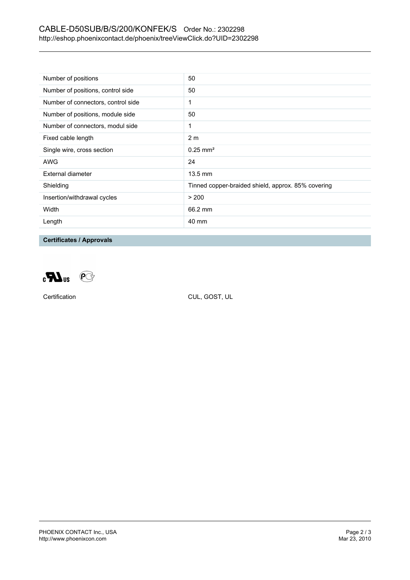# CABLE-D50SUB/B/S/200/KONFEK/S Order No.: 2302298 http://eshop.phoenixcontact.de/phoenix/treeViewClick.do?UID=2302298

| Number of positions                | 50                                                 |
|------------------------------------|----------------------------------------------------|
| Number of positions, control side  | 50                                                 |
| Number of connectors, control side | 1                                                  |
| Number of positions, module side   | 50                                                 |
| Number of connectors, modul side   | 1                                                  |
| Fixed cable length                 | 2 <sub>m</sub>                                     |
| Single wire, cross section         | $0.25 \text{ mm}^2$                                |
| AWG                                | 24                                                 |
| External diameter                  | $13.5 \text{ mm}$                                  |
| Shielding                          | Tinned copper-braided shield, approx. 85% covering |
| Insertion/withdrawal cycles        | > 200                                              |
| Width                              | 66.2 mm                                            |
| Length                             | 40 mm                                              |

## **Certificates / Approvals**



Certification CUL, GOST, UL